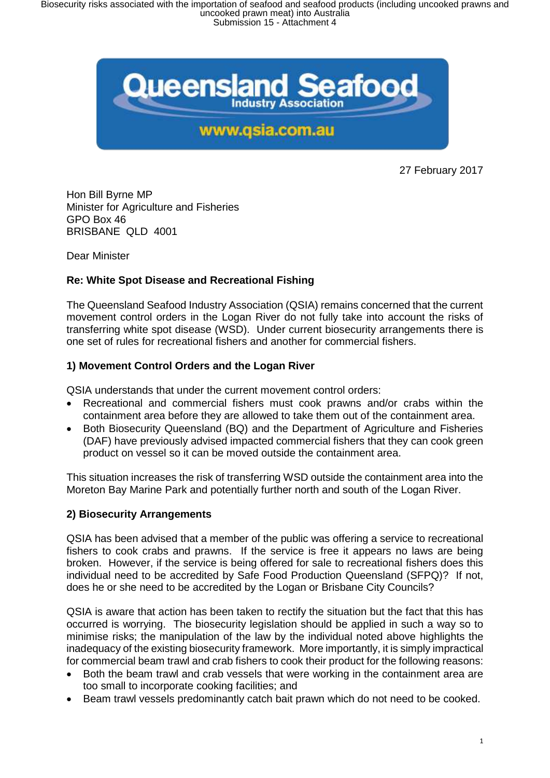

27 February 2017

Hon Bill Byrne MP Minister for Agriculture and Fisheries GPO Box 46 BRISBANE QLD 4001

Dear Minister

## **Re: White Spot Disease and Recreational Fishing**

The Queensland Seafood Industry Association (QSIA) remains concerned that the current movement control orders in the Logan River do not fully take into account the risks of transferring white spot disease (WSD). Under current biosecurity arrangements there is one set of rules for recreational fishers and another for commercial fishers.

### **1) Movement Control Orders and the Logan River**

QSIA understands that under the current movement control orders:

- Recreational and commercial fishers must cook prawns and/or crabs within the containment area before they are allowed to take them out of the containment area.
- Both Biosecurity Queensland (BQ) and the Department of Agriculture and Fisheries (DAF) have previously advised impacted commercial fishers that they can cook green product on vessel so it can be moved outside the containment area.

This situation increases the risk of transferring WSD outside the containment area into the Moreton Bay Marine Park and potentially further north and south of the Logan River.

# **2) Biosecurity Arrangements**

QSIA has been advised that a member of the public was offering a service to recreational fishers to cook crabs and prawns. If the service is free it appears no laws are being broken. However, if the service is being offered for sale to recreational fishers does this individual need to be accredited by Safe Food Production Queensland (SFPQ)? If not, does he or she need to be accredited by the Logan or Brisbane City Councils?

QSIA is aware that action has been taken to rectify the situation but the fact that this has occurred is worrying. The biosecurity legislation should be applied in such a way so to minimise risks; the manipulation of the law by the individual noted above highlights the inadequacy of the existing biosecurity framework. More importantly, it is simply impractical for commercial beam trawl and crab fishers to cook their product for the following reasons:

- Both the beam trawl and crab vessels that were working in the containment area are too small to incorporate cooking facilities; and
- Beam trawl vessels predominantly catch bait prawn which do not need to be cooked.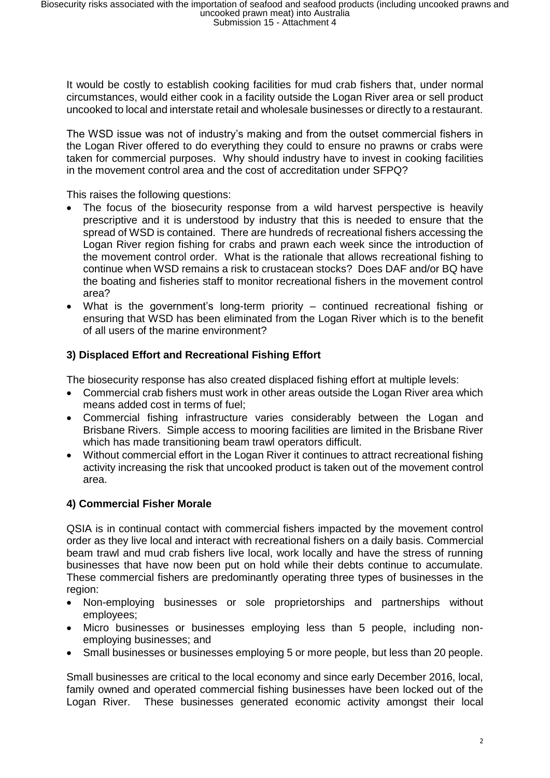It would be costly to establish cooking facilities for mud crab fishers that, under normal circumstances, would either cook in a facility outside the Logan River area or sell product uncooked to local and interstate retail and wholesale businesses or directly to a restaurant.

The WSD issue was not of industry's making and from the outset commercial fishers in the Logan River offered to do everything they could to ensure no prawns or crabs were taken for commercial purposes. Why should industry have to invest in cooking facilities in the movement control area and the cost of accreditation under SFPQ?

This raises the following questions:

- The focus of the biosecurity response from a wild harvest perspective is heavily prescriptive and it is understood by industry that this is needed to ensure that the spread of WSD is contained. There are hundreds of recreational fishers accessing the Logan River region fishing for crabs and prawn each week since the introduction of the movement control order. What is the rationale that allows recreational fishing to continue when WSD remains a risk to crustacean stocks? Does DAF and/or BQ have the boating and fisheries staff to monitor recreational fishers in the movement control area?
- What is the government's long-term priority continued recreational fishing or ensuring that WSD has been eliminated from the Logan River which is to the benefit of all users of the marine environment?

# **3) Displaced Effort and Recreational Fishing Effort**

The biosecurity response has also created displaced fishing effort at multiple levels:

- Commercial crab fishers must work in other areas outside the Logan River area which means added cost in terms of fuel;
- Commercial fishing infrastructure varies considerably between the Logan and Brisbane Rivers. Simple access to mooring facilities are limited in the Brisbane River which has made transitioning beam trawl operators difficult.
- Without commercial effort in the Logan River it continues to attract recreational fishing activity increasing the risk that uncooked product is taken out of the movement control area.

### **4) Commercial Fisher Morale**

QSIA is in continual contact with commercial fishers impacted by the movement control order as they live local and interact with recreational fishers on a daily basis. Commercial beam trawl and mud crab fishers live local, work locally and have the stress of running businesses that have now been put on hold while their debts continue to accumulate. These commercial fishers are predominantly operating three types of businesses in the region:

- Non-employing businesses or sole proprietorships and partnerships without employees;
- Micro businesses or businesses employing less than 5 people, including nonemploying businesses; and
- Small businesses or businesses employing 5 or more people, but less than 20 people.

Small businesses are critical to the local economy and since early December 2016, local, family owned and operated commercial fishing businesses have been locked out of the Logan River. These businesses generated economic activity amongst their local